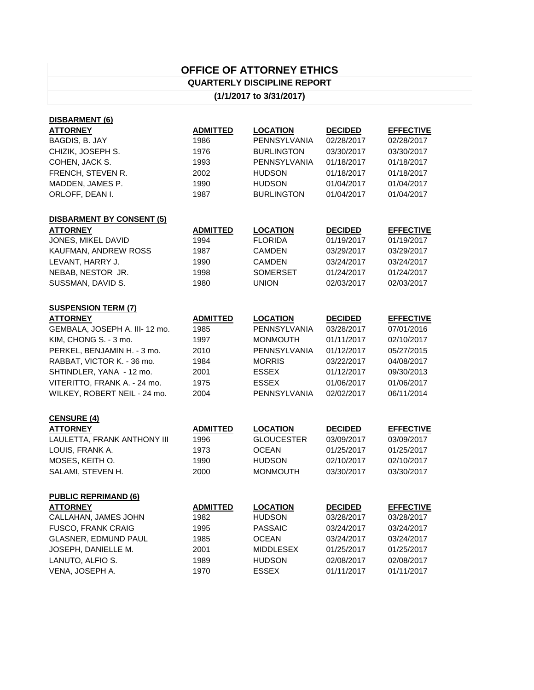## **OFFICE OF ATTORNEY ETHICS QUARTERLY DISCIPLINE REPORT**

## **(1/1/2017 to 3/31/2017)**

| <b>DISBARMENT (6)</b>            |                 |                     |                |                  |
|----------------------------------|-----------------|---------------------|----------------|------------------|
| <b>ATTORNEY</b>                  | <b>ADMITTED</b> | <b>LOCATION</b>     | <b>DECIDED</b> | <b>EFFECTIVE</b> |
| BAGDIS, B. JAY                   | 1986            | PENNSYLVANIA        | 02/28/2017     | 02/28/2017       |
| CHIZIK, JOSEPH S.                | 1976            | <b>BURLINGTON</b>   | 03/30/2017     | 03/30/2017       |
| COHEN, JACK S.                   | 1993            | <b>PENNSYLVANIA</b> | 01/18/2017     | 01/18/2017       |
| FRENCH, STEVEN R.                | 2002            | <b>HUDSON</b>       | 01/18/2017     | 01/18/2017       |
| MADDEN, JAMES P.                 | 1990            | <b>HUDSON</b>       | 01/04/2017     | 01/04/2017       |
| ORLOFF, DEAN I.                  | 1987            | <b>BURLINGTON</b>   | 01/04/2017     | 01/04/2017       |
| <b>DISBARMENT BY CONSENT (5)</b> |                 |                     |                |                  |
| <b>ATTORNEY</b>                  | <b>ADMITTED</b> | <b>LOCATION</b>     | <b>DECIDED</b> | <b>EFFECTIVE</b> |
| JONES, MIKEL DAVID               | 1994            | <b>FLORIDA</b>      | 01/19/2017     | 01/19/2017       |
| KAUFMAN, ANDREW ROSS             | 1987            | <b>CAMDEN</b>       | 03/29/2017     | 03/29/2017       |
| LEVANT, HARRY J.                 | 1990            | <b>CAMDEN</b>       | 03/24/2017     | 03/24/2017       |
| NEBAB, NESTOR JR.                | 1998            | <b>SOMERSET</b>     | 01/24/2017     | 01/24/2017       |
| SUSSMAN, DAVID S.                | 1980            | <b>UNION</b>        | 02/03/2017     | 02/03/2017       |
| <b>SUSPENSION TERM (7)</b>       |                 |                     |                |                  |
| <b>ATTORNEY</b>                  | <b>ADMITTED</b> | <b>LOCATION</b>     | <b>DECIDED</b> | <b>EFFECTIVE</b> |
| GEMBALA, JOSEPH A. III-12 mo.    | 1985            | PENNSYLVANIA        | 03/28/2017     | 07/01/2016       |
| KIM, CHONG S. - 3 mo.            | 1997            | <b>MONMOUTH</b>     | 01/11/2017     | 02/10/2017       |
| PERKEL, BENJAMIN H. - 3 mo.      | 2010            | PENNSYLVANIA        | 01/12/2017     | 05/27/2015       |
| RABBAT, VICTOR K. - 36 mo.       | 1984            | <b>MORRIS</b>       | 03/22/2017     | 04/08/2017       |
| SHTINDLER, YANA - 12 mo.         | 2001            | ESSEX               | 01/12/2017     | 09/30/2013       |
| VITERITTO, FRANK A. - 24 mo.     | 1975            | <b>ESSEX</b>        | 01/06/2017     | 01/06/2017       |
| WILKEY, ROBERT NEIL - 24 mo.     | 2004            | PENNSYLVANIA        | 02/02/2017     | 06/11/2014       |
| <b>CENSURE (4)</b>               |                 |                     |                |                  |
| <b>ATTORNEY</b>                  | <b>ADMITTED</b> | <b>LOCATION</b>     | <b>DECIDED</b> | <b>EFFECTIVE</b> |
| LAULETTA, FRANK ANTHONY III      | 1996            | <b>GLOUCESTER</b>   | 03/09/2017     | 03/09/2017       |
| LOUIS, FRANK A.                  | 1973            | <b>OCEAN</b>        | 01/25/2017     | 01/25/2017       |
| MOSES, KEITH O.                  | 1990            | <b>HUDSON</b>       | 02/10/2017     | 02/10/2017       |
| SALAMI, STEVEN H.                | 2000            | <b>MONMOUTH</b>     | 03/30/2017     | 03/30/2017       |
| <b>PUBLIC REPRIMAND (6)</b>      |                 |                     |                |                  |
| <b>ATTORNEY</b>                  | <b>ADMITTED</b> | <b>LOCATION</b>     | <b>DECIDED</b> | <b>EFFECTIVE</b> |
| CALLAHAN, JAMES JOHN             | 1982            | <b>HUDSON</b>       | 03/28/2017     | 03/28/2017       |
| <b>FUSCO, FRANK CRAIG</b>        | 1995            | <b>PASSAIC</b>      | 03/24/2017     | 03/24/2017       |
| GLASNER, EDMUND PAUL             | 1985            | <b>OCEAN</b>        | 03/24/2017     | 03/24/2017       |
| JOSEPH, DANIELLE M.              | 2001            | <b>MIDDLESEX</b>    | 01/25/2017     | 01/25/2017       |
| LANUTO, ALFIO S.                 | 1989            | <b>HUDSON</b>       | 02/08/2017     | 02/08/2017       |
| VENA, JOSEPH A.                  | 1970            | <b>ESSEX</b>        | 01/11/2017     | 01/11/2017       |